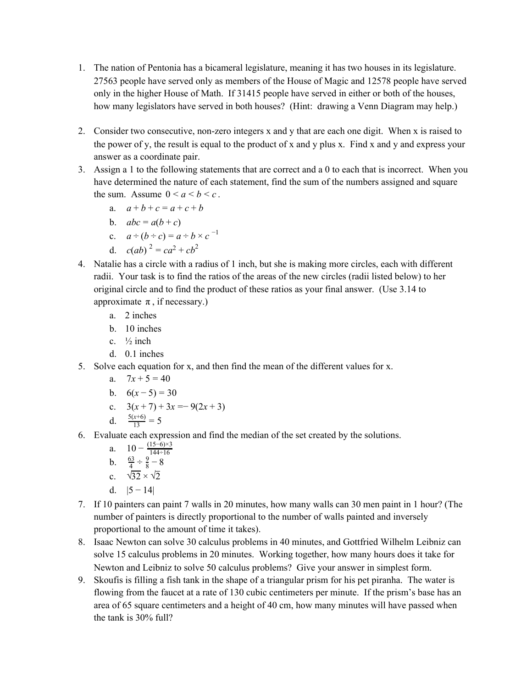- 1. The nation of Pentonia has a bicameral legislature, meaning it has two houses in its legislature. 27563 people have served only as members of the House of Magic and 12578 people have served only in the higher House of Math. If 31415 people have served in either or both of the houses, how many legislators have served in both houses? (Hint: drawing a Venn Diagram may help.)
- 2. Consider two consecutive, non-zero integers x and y that are each one digit. When x is raised to the power of y, the result is equal to the product of x and y plus x. Find x and y and express your answer as a coordinate pair.
- 3. Assign a 1 to the following statements that are correct and a 0 to each that is incorrect. When you have determined the nature of each statement, find the sum of the numbers assigned and square the sum. Assume  $0 \le a \le b \le c$ .
	- a.  $a + b + c = a + c + b$
	- b.  $abc = a(b+c)$
	- c.  $a \div (b \div c) = a \div b \times c^{-1}$
	- d.  $c(ab)^2 = ca^2 + cb^2$
- 4. Natalie has a circle with a radius of 1 inch, but she is making more circles, each with different radii. Your task is to find the ratios of the areas of the new circles (radii listed below) to her original circle and to find the product of these ratios as your final answer. (Use 3.14 to approximate  $\pi$ , if necessary.)
	- a. 2 inches
	- b. 10 inches
	- c.  $\frac{1}{2}$  inch
	- d. 0.1 inches
- 5. Solve each equation for x, and then find the mean of the different values for x.
	- a.  $7x + 5 = 40$
	- b.  $6(x-5) = 30$
	- c.  $3(x+7) + 3x = -9(2x+3)$
	- d.  $\frac{5(x+6)}{13} = 5$
- 6. Evaluate each expression and find the median of the set created by the solutions.
	- a.  $10 \frac{(15-6) \times 3}{144 \div 16}$ b.  $\frac{63}{4} \div \frac{9}{8} - 8$ c.  $\sqrt{32} \times \sqrt{2}$
	-
	- d.  $|5 14|$
- 7. If 10 painters can paint 7 walls in 20 minutes, how many walls can 30 men paint in 1 hour? (The number of painters is directly proportional to the number of walls painted and inversely proportional to the amount of time it takes).
- 8. Isaac Newton can solve 30 calculus problems in 40 minutes, and Gottfried Wilhelm Leibniz can solve 15 calculus problems in 20 minutes. Working together, how many hours does it take for Newton and Leibniz to solve 50 calculus problems? Give your answer in simplest form.
- 9. Skoufis is filling a fish tank in the shape of a triangular prism for his pet piranha. The water is flowing from the faucet at a rate of 130 cubic centimeters per minute. If the prism's base has an area of 65 square centimeters and a height of 40 cm, how many minutes will have passed when the tank is 30% full?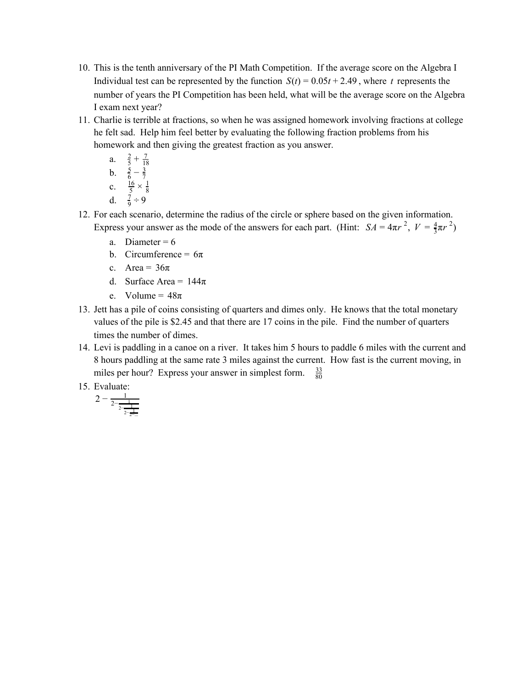- 10. This is the tenth anniversary of the PI Math Competition. If the average score on the Algebra I Individual test can be represented by the function  $S(t) = 0.05t + 2.49$ , where *t* represents the number of years the PI Competition has been held, what will be the average score on the Algebra I exam next year?
- 11. Charlie is terrible at fractions, so when he was assigned homework involving fractions at college he felt sad. Help him feel better by evaluating the following fraction problems from his homework and then giving the greatest fraction as you answer.

a. 
$$
\frac{2}{5} + \frac{7}{18}
$$
  
\nb.  $\frac{5}{6} - \frac{3}{7}$   
\nc.  $\frac{16}{5} \times \frac{1}{8}$   
\nd.  $\frac{7}{9} \div 9$ 

- 12. For each scenario, determine the radius of the circle or sphere based on the given information. Express your answer as the mode of the answers for each part. (Hint:  $SA = 4\pi r^2$ ,  $V = \frac{4}{3}\pi r^2$ )
	- a. Diameter =  $6$
	- b. Circumference =  $6\pi$
	- c. Area =  $36\pi$
	- d. Surface Area =  $144\pi$
	- e. Volume =  $48\pi$
- 13. Jett has a pile of coins consisting of quarters and dimes only. He knows that the total monetary values of the pile is \$2.45 and that there are 17 coins in the pile. Find the number of quarters times the number of dimes.
- 14. Levi is paddling in a canoe on a river. It takes him 5 hours to paddle 6 miles with the current and 8 hours paddling at the same rate 3 miles against the current. How fast is the current moving, in miles per hour? Express your answer in simplest form.  $\frac{33}{80}$
- 15. Evaluate:

$$
2-\tfrac{1}{2-\tfrac{1}{2-\tfrac{1}{2-\tfrac{1}{2-\dots}}}}
$$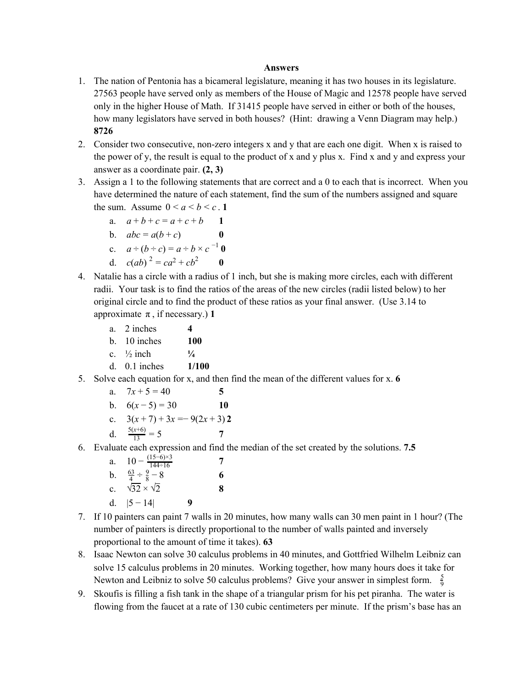## **Answers**

- 1. The nation of Pentonia has a bicameral legislature, meaning it has two houses in its legislature. 27563 people have served only as members of the House of Magic and 12578 people have served only in the higher House of Math. If 31415 people have served in either or both of the houses, how many legislators have served in both houses? (Hint: drawing a Venn Diagram may help.) **8726**
- 2. Consider two consecutive, non-zero integers x and y that are each one digit. When x is raised to the power of y, the result is equal to the product of x and y plus x. Find x and y and express your answer as a coordinate pair. **(2, 3)**
- 3. Assign a 1 to the following statements that are correct and a 0 to each that is incorrect. When you have determined the nature of each statement, find the sum of the numbers assigned and square the sum. Assume  $0 \le a \le b \le c$ . **1** 
	- a.  $a+b+c = a+c+b$  1
	- b.  $abc = a(b+c)$
	- c.  $a \div (b \div c) = a \div b \times c^{-1} 0$
	- d.  $c(ab)^2 = ca^2 + cb^2$  **0**
- 4. Natalie has a circle with a radius of 1 inch, but she is making more circles, each with different radii. Your task is to find the ratios of the areas of the new circles (radii listed below) to her original circle and to find the product of these ratios as your final answer. (Use 3.14 to approximate  $\pi$ , if necessary.) **1** 
	- a. 2 inches **4**
	- b. 10 inches **100**
	- c.  $\frac{1}{2}$  inch  $\frac{1}{4}$
	- d. 0.1 inches **1/100**
- 5. Solve each equation for x, and then find the mean of the different values for x. **6**
	- a.  $7x + 5 = 40$  5
	- b.  $6(x-5) = 30$  **10**
	- c.  $3(x+7) + 3x = -9(2x+3)$  **2**
	- d.  $\frac{5(x+6)}{13} = 5$  7
- 6. Evaluate each expression and find the median of the set created by the solutions. **7.5**

| a.             | $10 - \frac{(15-6) \times 3}{1}$<br>$144 \div 16$ |   |   |
|----------------|---------------------------------------------------|---|---|
| b.             | $\frac{63}{4} \div \frac{9}{8} - 8$               |   | 6 |
| $\mathbf{c}$ . | $\sqrt{32} \times \sqrt{2}$                       |   | 8 |
| d.             | $ 5 - 14 $                                        | q |   |

- 7. If 10 painters can paint 7 walls in 20 minutes, how many walls can 30 men paint in 1 hour? (The number of painters is directly proportional to the number of walls painted and inversely proportional to the amount of time it takes). **63**
- 8. Isaac Newton can solve 30 calculus problems in 40 minutes, and Gottfried Wilhelm Leibniz can solve 15 calculus problems in 20 minutes. Working together, how many hours does it take for Newton and Leibniz to solve 50 calculus problems? Give your answer in simplest form.  $\frac{5}{9}$
- 9. Skoufis is filling a fish tank in the shape of a triangular prism for his pet piranha. The water is flowing from the faucet at a rate of 130 cubic centimeters per minute. If the prism's base has an